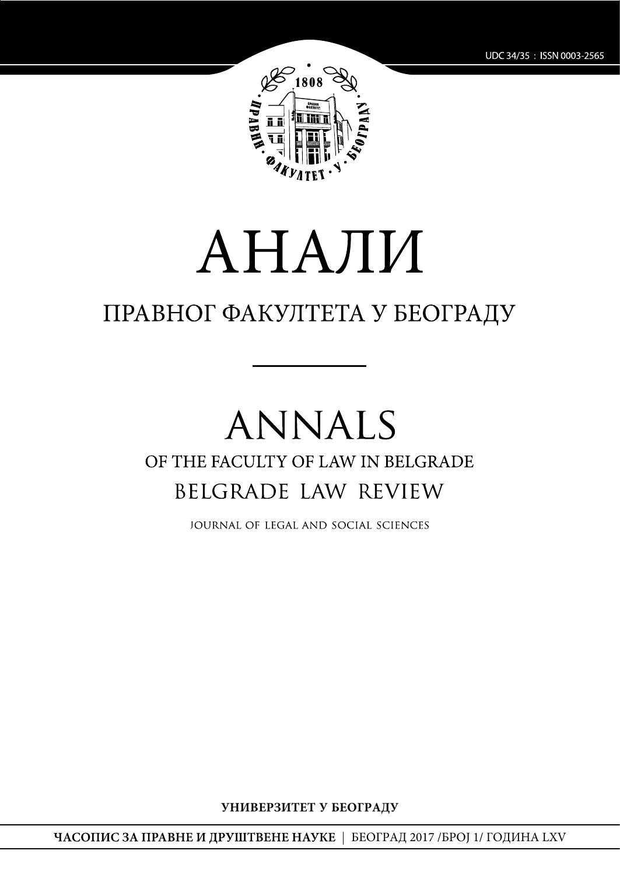

# АНАЛИ

# ПРАВНОГ ФАКУЛТЕТА У БЕОГРАДУ

# **ANNALS** OF THE FACULTY OF LAW IN BELGRADE BELGRADE LAW REVIEW

JOURNAL OF LEGAL AND SOCIAL SCIENCES

УНИВЕРЗИТЕТ У БЕОГРАДУ

ЧАСОПИС ЗА ПРАВНЕ И ДРУШТВЕНЕ НАУКЕ | БЕОГРАД 2017 /БРОЈ 1/ ГОДИНА LXV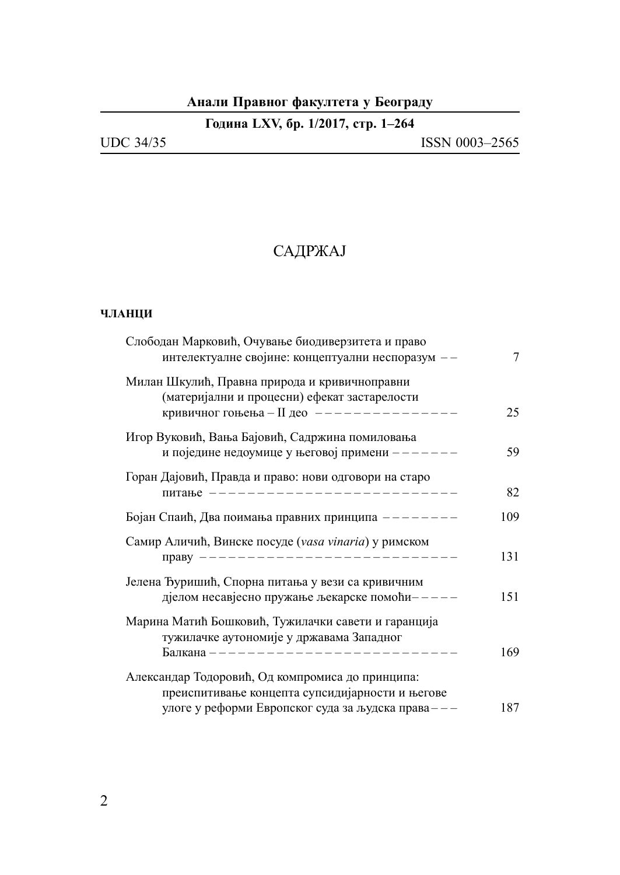## **Aнали Правног факултета у Београду**

| <b>UDC 34/35</b> | ISSN 0003-2565 |
|------------------|----------------|
|                  |                |

# САДРЖАЈ

#### **ЧЛАНЦИ**

| Слободан Марковић, Очување биодиверзитета и право<br>интелектуалне својине: концептуални неспоразум --                                                   | 7   |
|----------------------------------------------------------------------------------------------------------------------------------------------------------|-----|
| Милан Шкулић, Правна природа и кривичноправни<br>(материјални и процесни) ефекат застарелости<br>кривичног гоњења - II део --------------                | 25  |
| Игор Вуковић, Вања Бајовић, Садржина помиловања<br>и поједине недоумице у његовој примени ------                                                         | 59  |
| Горан Дајовић, Правда и право: нови одговори на старо<br>ПИТање -------------------------                                                                | 82  |
| Бојан Спаић, Два поимања правних принципа -------                                                                                                        | 109 |
| Самир Аличић, Винске посуде (vasa vinaria) у римском<br>праву -------------------------                                                                  | 131 |
| Јелена Ђуришић, Спорна питања у вези са кривичним<br>дјелом несавјесно пружање љекарске помоћи-----                                                      | 151 |
| Марина Матић Бошковић, Тужилачки савети и гаранција<br>тужилачке аутономије у државама Западног<br>Балкана -----------------------                       | 169 |
| Александар Тодоровић, Од компромиса до принципа:<br>преиспитивање концепта супсидијарности и његове<br>улоге у реформи Европског суда за људска права--- | 187 |
|                                                                                                                                                          |     |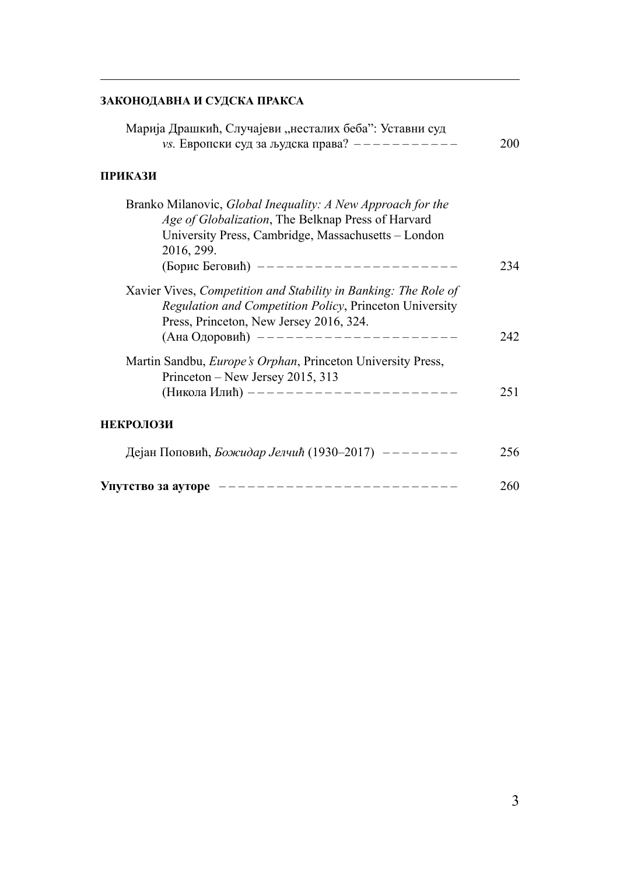#### **ЗАКОНОДАВНА И СУДСКА ПРАКСА**

| Марија Драшкић, Случајеви "несталих беба": Уставни суд<br>vs. Европски суд за људска права? -----------                                                                                                                       | 200 |
|-------------------------------------------------------------------------------------------------------------------------------------------------------------------------------------------------------------------------------|-----|
| ПРИКАЗИ                                                                                                                                                                                                                       |     |
| Branko Milanovic, Global Inequality: A New Approach for the<br>Age of Globalization, The Belknap Press of Harvard<br>University Press, Cambridge, Massachusetts - London<br>2016, 299.<br>(Борис Беговић) ------------------- | 234 |
| Xavier Vives, Competition and Stability in Banking: The Role of<br>Regulation and Competition Policy, Princeton University<br>Press, Princeton, New Jersey 2016, 324.<br>(Ана Одоровић) -------------------                   | 242 |
| Martin Sandbu, Europe's Orphan, Princeton University Press,<br>Princeton – New Jersey 2015, 313<br>(Никола Илић) --------------------                                                                                         | 251 |
| <b>НЕКРОЛОЗИ</b>                                                                                                                                                                                                              |     |
| Дејан Поповић, <i>Божидар Јелчић</i> (1930–2017) -------                                                                                                                                                                      | 256 |
| Упутство за ауторе ------------------------                                                                                                                                                                                   | 260 |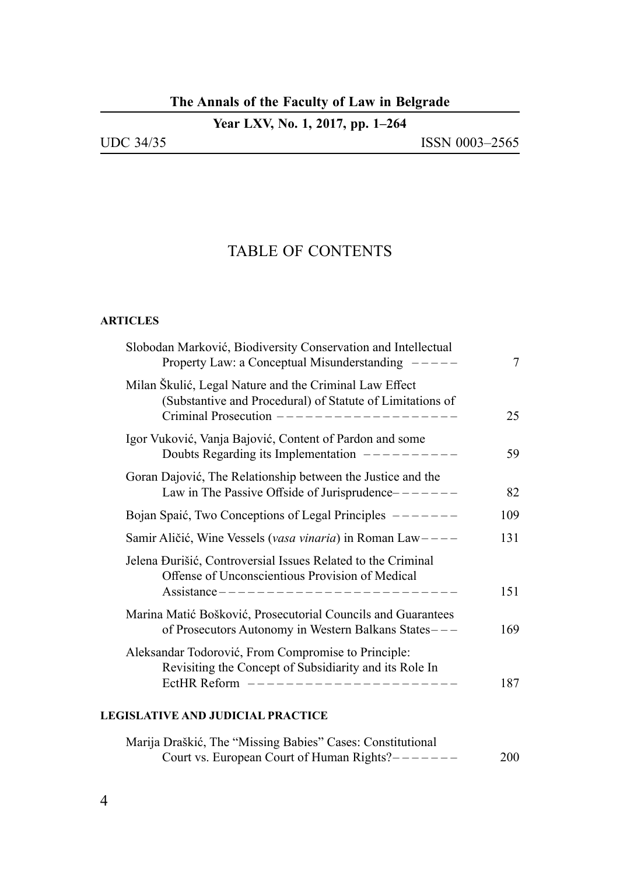### **The Annals of the Faculty of Law in Belgrade**

|  |  |  |  |  |  | Year LXV, No. 1, 2017, pp. 1–264 |
|--|--|--|--|--|--|----------------------------------|
|--|--|--|--|--|--|----------------------------------|

| <b>UDC 34/35</b> |  |
|------------------|--|
|                  |  |

## TABLE OF CONTENTS

#### **ARTICLES**

| Slobodan Marković, Biodiversity Conservation and Intellectual<br>Property Law: a Conceptual Misunderstanding $---$                                               | 7   |
|------------------------------------------------------------------------------------------------------------------------------------------------------------------|-----|
| Milan Škulić, Legal Nature and the Criminal Law Effect<br>(Substantive and Procedural) of Statute of Limitations of<br>Criminal Prosecution $------------------$ | 25  |
| Igor Vuković, Vanja Bajović, Content of Pardon and some<br>Doubts Regarding its Implementation $------$                                                          | 59  |
| Goran Dajović, The Relationship between the Justice and the<br>Law in The Passive Offside of Jurisprudence-------                                                | 82  |
| Bojan Spaić, Two Conceptions of Legal Principles $------$                                                                                                        | 109 |
| Samir Aličić, Wine Vessels (vasa vinaria) in Roman Law ----                                                                                                      | 131 |
| Jelena Đurišić, Controversial Issues Related to the Criminal<br>Offense of Unconscientious Provision of Medical<br>Assistance -------------------------          | 151 |
| Marina Matić Bošković, Prosecutorial Councils and Guarantees<br>of Prosecutors Autonomy in Western Balkans States---                                             | 169 |
| Aleksandar Todorović, From Compromise to Principle:<br>Revisiting the Concept of Subsidiarity and its Role In<br>EctHR Reform $------------------------$         | 187 |

#### **LEGISLATIVE AND JUDICIAL PRACTICE**

| Marija Draškić, The "Missing Babies" Cases: Constitutional |     |
|------------------------------------------------------------|-----|
| Court vs. European Court of Human Rights?———————           | 200 |